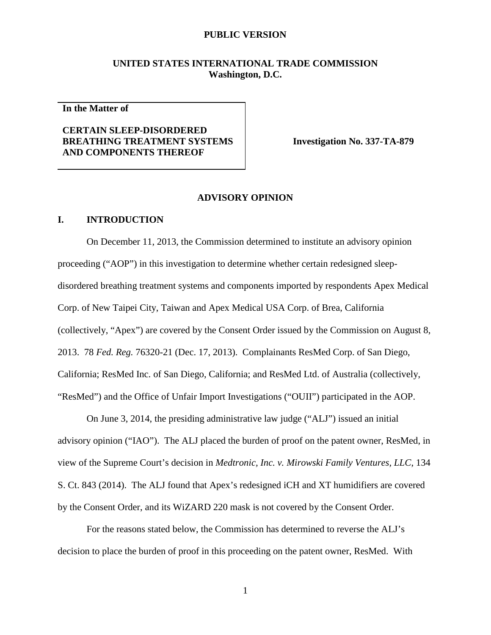# **UNITED STATES INTERNATIONAL TRADE COMMISSION Washington, D.C.**

**In the Matter of**

# **CERTAIN SLEEP-DISORDERED BREATHING TREATMENT SYSTEMS AND COMPONENTS THEREOF**

**Investigation No. 337-TA-879**

#### **ADVISORY OPINION**

## **I. INTRODUCTION**

On December 11, 2013, the Commission determined to institute an advisory opinion proceeding ("AOP") in this investigation to determine whether certain redesigned sleepdisordered breathing treatment systems and components imported by respondents Apex Medical Corp. of New Taipei City, Taiwan and Apex Medical USA Corp. of Brea, California (collectively, "Apex") are covered by the Consent Order issued by the Commission on August 8, 2013. 78 *Fed. Reg.* 76320-21 (Dec. 17, 2013). Complainants ResMed Corp. of San Diego, California; ResMed Inc. of San Diego, California; and ResMed Ltd. of Australia (collectively, "ResMed") and the Office of Unfair Import Investigations ("OUII") participated in the AOP.

On June 3, 2014, the presiding administrative law judge ("ALJ") issued an initial advisory opinion ("IAO"). The ALJ placed the burden of proof on the patent owner, ResMed, in view of the Supreme Court's decision in *Medtronic, Inc. v. Mirowski Family Ventures, LLC*, 134 S. Ct. 843 (2014). The ALJ found that Apex's redesigned iCH and XT humidifiers are covered by the Consent Order, and its WiZARD 220 mask is not covered by the Consent Order.

For the reasons stated below, the Commission has determined to reverse the ALJ's decision to place the burden of proof in this proceeding on the patent owner, ResMed. With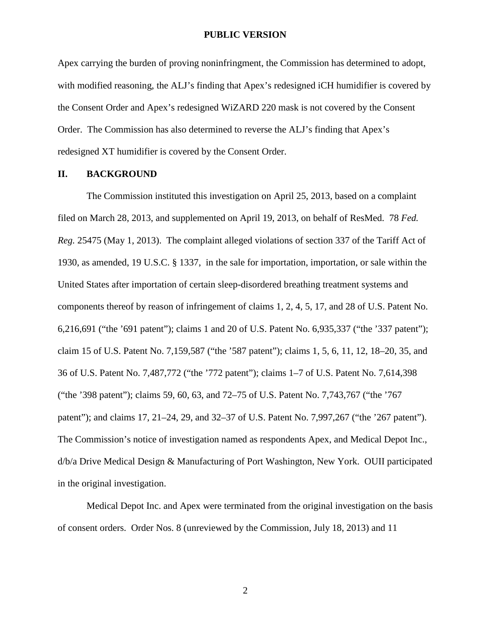Apex carrying the burden of proving noninfringment, the Commission has determined to adopt, with modified reasoning, the ALJ's finding that Apex's redesigned iCH humidifier is covered by the Consent Order and Apex's redesigned WiZARD 220 mask is not covered by the Consent Order. The Commission has also determined to reverse the ALJ's finding that Apex's redesigned XT humidifier is covered by the Consent Order.

#### **II. BACKGROUND**

The Commission instituted this investigation on April 25, 2013, based on a complaint filed on March 28, 2013, and supplemented on April 19, 2013, on behalf of ResMed. 78 *Fed. Reg.* 25475 (May 1, 2013). The complaint alleged violations of section 337 of the Tariff Act of 1930, as amended, 19 U.S.C. § 1337, in the sale for importation, importation, or sale within the United States after importation of certain sleep-disordered breathing treatment systems and components thereof by reason of infringement of claims 1, 2, 4, 5, 17, and 28 of U.S. Patent No. 6,216,691 ("the '691 patent"); claims 1 and 20 of U.S. Patent No. 6,935,337 ("the '337 patent"); claim 15 of U.S. Patent No. 7,159,587 ("the '587 patent"); claims 1, 5, 6, 11, 12, 18–20, 35, and 36 of U.S. Patent No. 7,487,772 ("the '772 patent"); claims 1–7 of U.S. Patent No. 7,614,398 ("the '398 patent"); claims 59, 60, 63, and 72–75 of U.S. Patent No. 7,743,767 ("the '767 patent"); and claims 17, 21–24, 29, and 32–37 of U.S. Patent No. 7,997,267 ("the '267 patent"). The Commission's notice of investigation named as respondents Apex, and Medical Depot Inc., d/b/a Drive Medical Design & Manufacturing of Port Washington, New York. OUII participated in the original investigation.

Medical Depot Inc. and Apex were terminated from the original investigation on the basis of consent orders. Order Nos. 8 (unreviewed by the Commission, July 18, 2013) and 11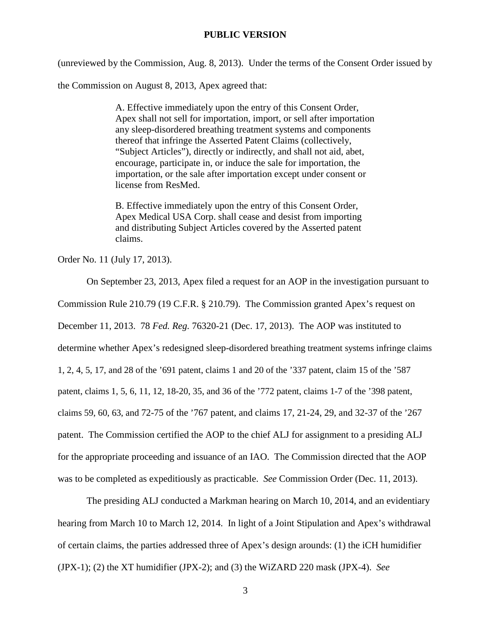(unreviewed by the Commission, Aug. 8, 2013). Under the terms of the Consent Order issued by

the Commission on August 8, 2013, Apex agreed that:

A. Effective immediately upon the entry of this Consent Order, Apex shall not sell for importation, import, or sell after importation any sleep-disordered breathing treatment systems and components thereof that infringe the Asserted Patent Claims (collectively, "Subject Articles"), directly or indirectly, and shall not aid, abet, encourage, participate in, or induce the sale for importation, the importation, or the sale after importation except under consent or license from ResMed.

B. Effective immediately upon the entry of this Consent Order, Apex Medical USA Corp. shall cease and desist from importing and distributing Subject Articles covered by the Asserted patent claims.

Order No. 11 (July 17, 2013).

On September 23, 2013, Apex filed a request for an AOP in the investigation pursuant to Commission Rule 210.79 (19 C.F.R. § 210.79). The Commission granted Apex's request on December 11, 2013. 78 *Fed. Reg.* 76320-21 (Dec. 17, 2013). The AOP was instituted to determine whether Apex's redesigned sleep-disordered breathing treatment systems infringe claims 1, 2, 4, 5, 17, and 28 of the '691 patent, claims 1 and 20 of the '337 patent, claim 15 of the '587 patent, claims 1, 5, 6, 11, 12, 18-20, 35, and 36 of the '772 patent, claims 1-7 of the '398 patent, claims 59, 60, 63, and 72-75 of the '767 patent, and claims 17, 21-24, 29, and 32-37 of the '267 patent. The Commission certified the AOP to the chief ALJ for assignment to a presiding ALJ for the appropriate proceeding and issuance of an IAO. The Commission directed that the AOP was to be completed as expeditiously as practicable. *See* Commission Order (Dec. 11, 2013).

The presiding ALJ conducted a Markman hearing on March 10, 2014, and an evidentiary hearing from March 10 to March 12, 2014. In light of a Joint Stipulation and Apex's withdrawal of certain claims, the parties addressed three of Apex's design arounds: (1) the iCH humidifier (JPX-1); (2) the XT humidifier (JPX-2); and (3) the WiZARD 220 mask (JPX-4). *See*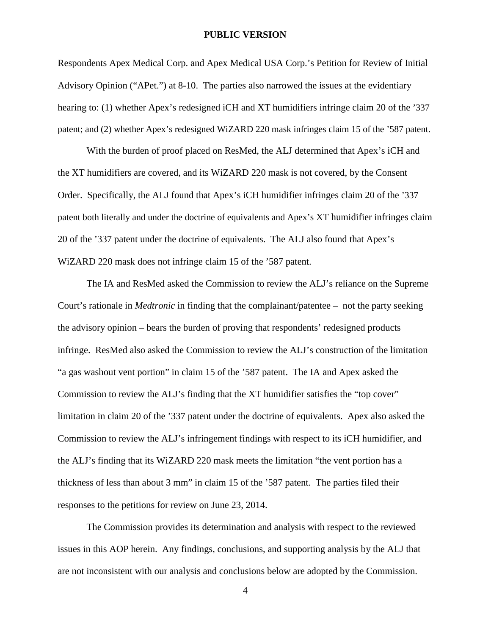Respondents Apex Medical Corp. and Apex Medical USA Corp.'s Petition for Review of Initial Advisory Opinion ("APet.") at 8-10. The parties also narrowed the issues at the evidentiary hearing to: (1) whether Apex's redesigned iCH and XT humidifiers infringe claim 20 of the '337 patent; and (2) whether Apex's redesigned WiZARD 220 mask infringes claim 15 of the '587 patent.

With the burden of proof placed on ResMed, the ALJ determined that Apex's iCH and the XT humidifiers are covered, and its WiZARD 220 mask is not covered, by the Consent Order. Specifically, the ALJ found that Apex's iCH humidifier infringes claim 20 of the '337 patent both literally and under the doctrine of equivalents and Apex's XT humidifier infringes claim 20 of the '337 patent under the doctrine of equivalents. The ALJ also found that Apex's WiZARD 220 mask does not infringe claim 15 of the '587 patent.

The IA and ResMed asked the Commission to review the ALJ's reliance on the Supreme Court's rationale in *Medtronic* in finding that the complainant/patentee – not the party seeking the advisory opinion – bears the burden of proving that respondents' redesigned products infringe. ResMed also asked the Commission to review the ALJ's construction of the limitation "a gas washout vent portion" in claim 15 of the '587 patent. The IA and Apex asked the Commission to review the ALJ's finding that the XT humidifier satisfies the "top cover" limitation in claim 20 of the '337 patent under the doctrine of equivalents. Apex also asked the Commission to review the ALJ's infringement findings with respect to its iCH humidifier, and the ALJ's finding that its WiZARD 220 mask meets the limitation "the vent portion has a thickness of less than about 3 mm" in claim 15 of the '587 patent. The parties filed their responses to the petitions for review on June 23, 2014.

The Commission provides its determination and analysis with respect to the reviewed issues in this AOP herein. Any findings, conclusions, and supporting analysis by the ALJ that are not inconsistent with our analysis and conclusions below are adopted by the Commission.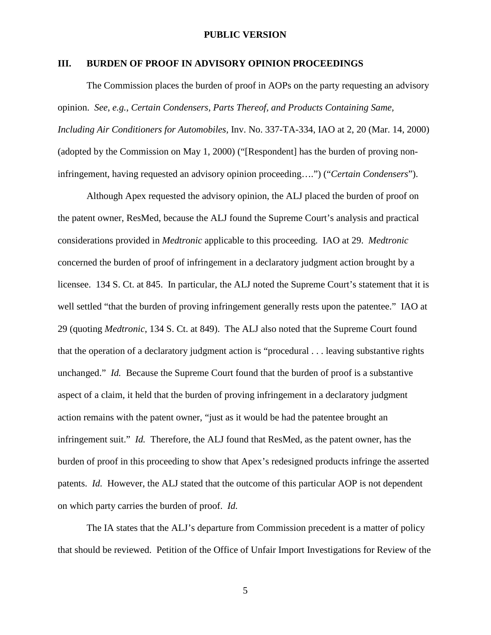### **III. BURDEN OF PROOF IN ADVISORY OPINION PROCEEDINGS**

The Commission places the burden of proof in AOPs on the party requesting an advisory opinion. *See*, *e.g.*, *Certain Condensers, Parts Thereof, and Products Containing Same, Including Air Conditioners for Automobiles,* Inv. No. 337-TA-334, IAO at 2, 20 (Mar. 14, 2000) (adopted by the Commission on May 1, 2000) ("[Respondent] has the burden of proving noninfringement, having requested an advisory opinion proceeding….") ("*Certain Condensers*").

Although Apex requested the advisory opinion, the ALJ placed the burden of proof on the patent owner, ResMed, because the ALJ found the Supreme Court's analysis and practical considerations provided in *Medtronic* applicable to this proceeding. IAO at 29. *Medtronic* concerned the burden of proof of infringement in a declaratory judgment action brought by a licensee. 134 S. Ct. at 845. In particular, the ALJ noted the Supreme Court's statement that it is well settled "that the burden of proving infringement generally rests upon the patentee." IAO at 29 (quoting *Medtronic*, 134 S. Ct. at 849). The ALJ also noted that the Supreme Court found that the operation of a declaratory judgment action is "procedural . . . leaving substantive rights unchanged." *Id.* Because the Supreme Court found that the burden of proof is a substantive aspect of a claim, it held that the burden of proving infringement in a declaratory judgment action remains with the patent owner, "just as it would be had the patentee brought an infringement suit." *Id.* Therefore, the ALJ found that ResMed, as the patent owner, has the burden of proof in this proceeding to show that Apex's redesigned products infringe the asserted patents. *Id.* However, the ALJ stated that the outcome of this particular AOP is not dependent on which party carries the burden of proof. *Id.*

The IA states that the ALJ's departure from Commission precedent is a matter of policy that should be reviewed. Petition of the Office of Unfair Import Investigations for Review of the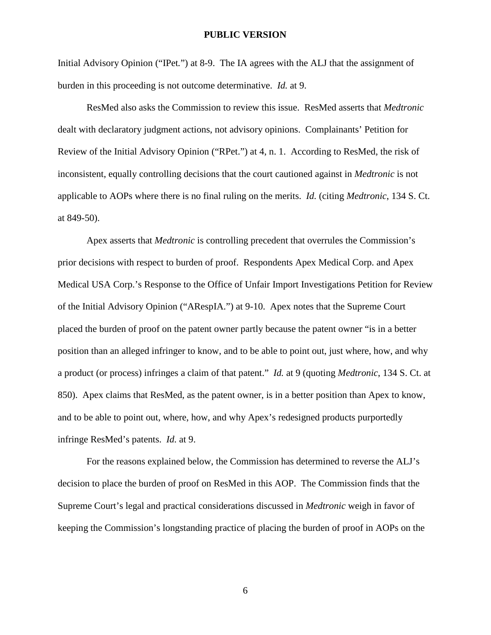Initial Advisory Opinion ("IPet*.*") at 8-9. The IA agrees with the ALJ that the assignment of burden in this proceeding is not outcome determinative. *Id.* at 9.

ResMed also asks the Commission to review this issue. ResMed asserts that *Medtronic* dealt with declaratory judgment actions, not advisory opinions. Complainants' Petition for Review of the Initial Advisory Opinion ("RPet.") at 4, n. 1. According to ResMed, the risk of inconsistent, equally controlling decisions that the court cautioned against in *Medtronic* is not applicable to AOPs where there is no final ruling on the merits. *Id.* (citing *Medtronic*, 134 S. Ct. at 849-50).

Apex asserts that *Medtronic* is controlling precedent that overrules the Commission's prior decisions with respect to burden of proof. Respondents Apex Medical Corp. and Apex Medical USA Corp.'s Response to the Office of Unfair Import Investigations Petition for Review of the Initial Advisory Opinion ("ARespIA.") at 9-10. Apex notes that the Supreme Court placed the burden of proof on the patent owner partly because the patent owner "is in a better position than an alleged infringer to know, and to be able to point out, just where, how, and why a product (or process) infringes a claim of that patent." *Id.* at 9 (quoting *Medtronic*, 134 S. Ct. at 850). Apex claims that ResMed, as the patent owner, is in a better position than Apex to know, and to be able to point out, where, how, and why Apex's redesigned products purportedly infringe ResMed's patents. *Id.* at 9.

For the reasons explained below, the Commission has determined to reverse the ALJ's decision to place the burden of proof on ResMed in this AOP. The Commission finds that the Supreme Court's legal and practical considerations discussed in *Medtronic* weigh in favor of keeping the Commission's longstanding practice of placing the burden of proof in AOPs on the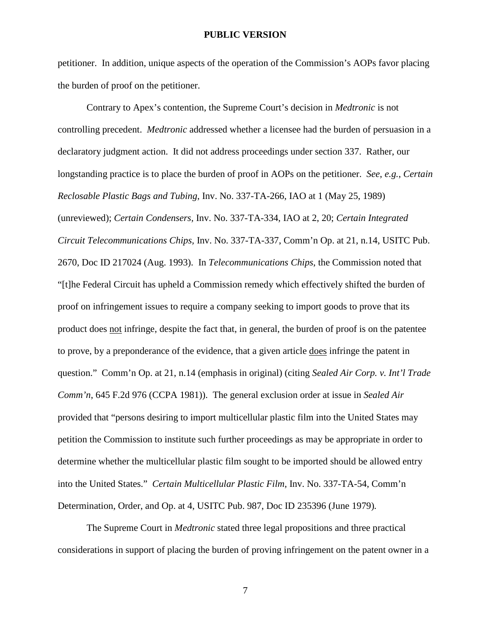petitioner. In addition, unique aspects of the operation of the Commission's AOPs favor placing the burden of proof on the petitioner.

Contrary to Apex's contention, the Supreme Court's decision in *Medtronic* is not controlling precedent. *Medtronic* addressed whether a licensee had the burden of persuasion in a declaratory judgment action. It did not address proceedings under section 337. Rather, our longstanding practice is to place the burden of proof in AOPs on the petitioner. *See*, *e.g.*, *Certain Reclosable Plastic Bags and Tubing*, Inv. No. 337-TA-266, IAO at 1 (May 25, 1989) (unreviewed); *Certain Condensers,* Inv. No. 337-TA-334, IAO at 2, 20; *Certain Integrated Circuit Telecommunications Chips,* Inv. No. 337-TA-337, Comm'n Op. at 21, n.14, USITC Pub. 2670, Doc ID 217024 (Aug. 1993). In *Telecommunications Chips*, the Commission noted that "[t]he Federal Circuit has upheld a Commission remedy which effectively shifted the burden of proof on infringement issues to require a company seeking to import goods to prove that its product does not infringe, despite the fact that, in general, the burden of proof is on the patentee to prove, by a preponderance of the evidence, that a given article does infringe the patent in question." Comm'n Op. at 21, n.14 (emphasis in original) (citing *Sealed Air Corp. v. Int'l Trade Comm'n*, 645 F.2d 976 (CCPA 1981)). The general exclusion order at issue in *Sealed Air* provided that "persons desiring to import multicellular plastic film into the United States may petition the Commission to institute such further proceedings as may be appropriate in order to determine whether the multicellular plastic film sought to be imported should be allowed entry into the United States." *Certain Multicellular Plastic Film*, Inv. No. 337-TA-54, Comm'n Determination, Order, and Op. at 4, USITC Pub. 987, Doc ID 235396 (June 1979)*.*

The Supreme Court in *Medtronic* stated three legal propositions and three practical considerations in support of placing the burden of proving infringement on the patent owner in a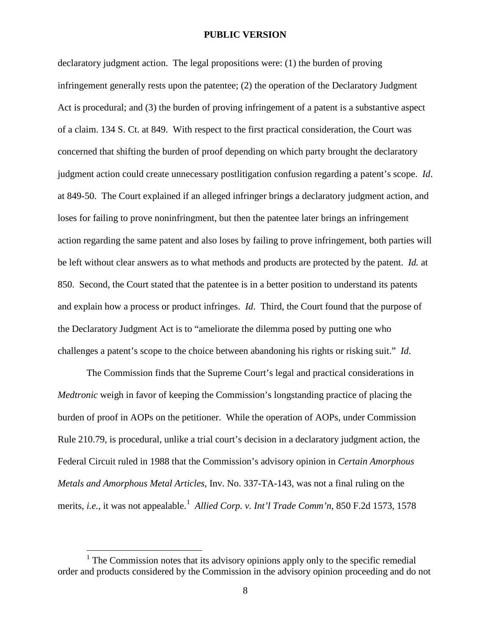declaratory judgment action. The legal propositions were: (1) the burden of proving infringement generally rests upon the patentee; (2) the operation of the Declaratory Judgment Act is procedural; and (3) the burden of proving infringement of a patent is a substantive aspect of a claim. 134 S. Ct. at 849. With respect to the first practical consideration, the Court was concerned that shifting the burden of proof depending on which party brought the declaratory judgment action could create unnecessary postlitigation confusion regarding a patent's scope. *Id*. at 849-50. The Court explained if an alleged infringer brings a declaratory judgment action, and loses for failing to prove noninfringment, but then the patentee later brings an infringement action regarding the same patent and also loses by failing to prove infringement, both parties will be left without clear answers as to what methods and products are protected by the patent. *Id.* at 850. Second, the Court stated that the patentee is in a better position to understand its patents and explain how a process or product infringes. *Id*. Third, the Court found that the purpose of the Declaratory Judgment Act is to "ameliorate the dilemma posed by putting one who challenges a patent's scope to the choice between abandoning his rights or risking suit." *Id*.

The Commission finds that the Supreme Court's legal and practical considerations in *Medtronic* weigh in favor of keeping the Commission's longstanding practice of placing the burden of proof in AOPs on the petitioner. While the operation of AOPs, under Commission Rule 210.79, is procedural, unlike a trial court's decision in a declaratory judgment action, the Federal Circuit ruled in 1988 that the Commission's advisory opinion in *Certain Amorphous Metals and Amorphous Metal Articles*, Inv. No. 337-TA-143, was not a final ruling on the merits, *i.e.*, it was not appealable.<sup>[1](#page-7-0)</sup> *Allied Corp. v. Int'l Trade Comm'n*, 850 F.2d 1573, 1578

<span id="page-7-0"></span> $<sup>1</sup>$  The Commission notes that its advisory opinions apply only to the specific remedial</sup> order and products considered by the Commission in the advisory opinion proceeding and do not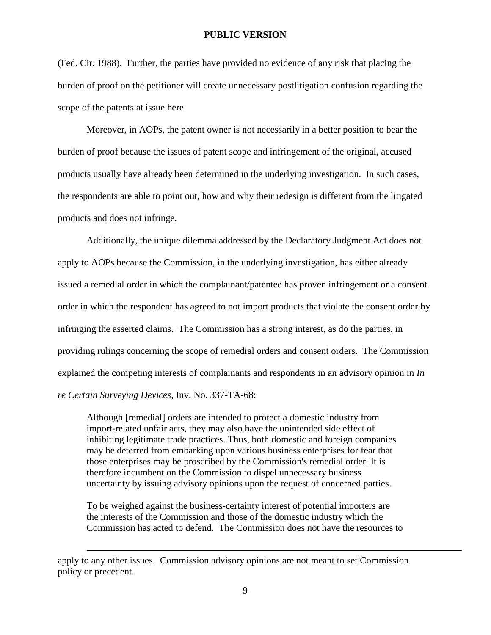(Fed. Cir. 1988). Further, the parties have provided no evidence of any risk that placing the burden of proof on the petitioner will create unnecessary postlitigation confusion regarding the scope of the patents at issue here.

Moreover, in AOPs, the patent owner is not necessarily in a better position to bear the burden of proof because the issues of patent scope and infringement of the original, accused products usually have already been determined in the underlying investigation. In such cases, the respondents are able to point out, how and why their redesign is different from the litigated products and does not infringe.

Additionally, the unique dilemma addressed by the Declaratory Judgment Act does not apply to AOPs because the Commission, in the underlying investigation, has either already issued a remedial order in which the complainant/patentee has proven infringement or a consent order in which the respondent has agreed to not import products that violate the consent order by infringing the asserted claims. The Commission has a strong interest, as do the parties, in providing rulings concerning the scope of remedial orders and consent orders. The Commission explained the competing interests of complainants and respondents in an advisory opinion in *In re Certain Surveying Devices*, Inv. No. 337-TA-68:

Although [remedial] orders are intended to protect a domestic industry from import-related unfair acts, they may also have the unintended side effect of inhibiting legitimate trade practices. Thus, both domestic and foreign companies may be deterred from embarking upon various business enterprises for fear that those enterprises may be proscribed by the Commission's remedial order. It is therefore incumbent on the Commission to dispel unnecessary business uncertainty by issuing advisory opinions upon the request of concerned parties.

To be weighed against the business-certainty interest of potential importers are the interests of the Commission and those of the domestic industry which the Commission has acted to defend. The Commission does not have the resources to

apply to any other issues. Commission advisory opinions are not meant to set Commission policy or precedent.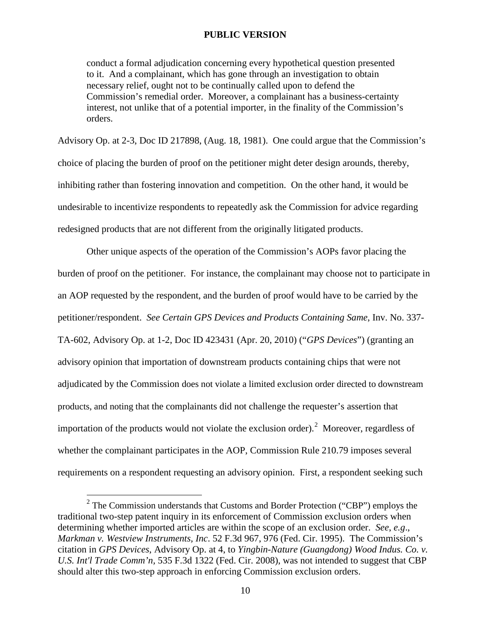conduct a formal adjudication concerning every hypothetical question presented to it. And a complainant, which has gone through an investigation to obtain necessary relief, ought not to be continually called upon to defend the Commission's remedial order. Moreover, a complainant has a business-certainty interest, not unlike that of a potential importer, in the finality of the Commission's orders.

Advisory Op. at 2-3, Doc ID 217898, (Aug. 18, 1981). One could argue that the Commission's choice of placing the burden of proof on the petitioner might deter design arounds, thereby, inhibiting rather than fostering innovation and competition. On the other hand, it would be undesirable to incentivize respondents to repeatedly ask the Commission for advice regarding redesigned products that are not different from the originally litigated products.

Other unique aspects of the operation of the Commission's AOPs favor placing the burden of proof on the petitioner. For instance, the complainant may choose not to participate in an AOP requested by the respondent, and the burden of proof would have to be carried by the petitioner/respondent. *See Certain GPS Devices and Products Containing Same*, Inv. No. 337- TA-602, Advisory Op. at 1-2, Doc ID 423431 (Apr. 20, 2010) ("*GPS Devices*") (granting an advisory opinion that importation of downstream products containing chips that were not adjudicated by the Commission does not violate a limited exclusion order directed to downstream products, and noting that the complainants did not challenge the requester's assertion that importation of the products would not violate the exclusion order).<sup>[2](#page-9-0)</sup> Moreover, regardless of whether the complainant participates in the AOP, Commission Rule 210.79 imposes several requirements on a respondent requesting an advisory opinion. First, a respondent seeking such

<span id="page-9-0"></span> $2^2$  The Commission understands that Customs and Border Protection ("CBP") employs the traditional two-step patent inquiry in its enforcement of Commission exclusion orders when determining whether imported articles are within the scope of an exclusion order. *See*, *e.g*., *Markman v. Westview Instruments, Inc*. 52 F.3d 967, 976 (Fed. Cir. 1995). The Commission's citation in *GPS Devices*, Advisory Op. at 4, to *Yingbin-Nature (Guangdong) Wood Indus. Co. v. U.S. Int'l Trade Comm'n,* 535 F.3d 1322 (Fed. Cir. 2008), was not intended to suggest that CBP should alter this two-step approach in enforcing Commission exclusion orders.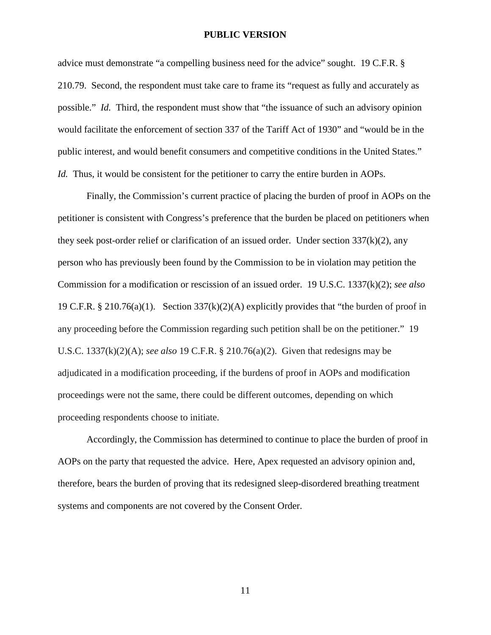advice must demonstrate "a compelling business need for the advice" sought. 19 C.F.R. § 210.79. Second, the respondent must take care to frame its "request as fully and accurately as possible." *Id.* Third, the respondent must show that "the issuance of such an advisory opinion would facilitate the enforcement of section 337 of the Tariff Act of 1930" and "would be in the public interest, and would benefit consumers and competitive conditions in the United States." *Id.* Thus, it would be consistent for the petitioner to carry the entire burden in AOPs.

Finally, the Commission's current practice of placing the burden of proof in AOPs on the petitioner is consistent with Congress's preference that the burden be placed on petitioners when they seek post-order relief or clarification of an issued order. Under section  $337(k)(2)$ , any person who has previously been found by the Commission to be in violation may petition the Commission for a modification or rescission of an issued order. 19 U.S.C. 1337(k)(2); *see also*  19 C.F.R. § 210.76(a)(1). Section  $337(k)(2)(A)$  explicitly provides that "the burden of proof in any proceeding before the Commission regarding such petition shall be on the petitioner." 19 U.S.C. 1337(k)(2)(A); *see also* 19 C.F.R. § 210.76(a)(2). Given that redesigns may be adjudicated in a modification proceeding, if the burdens of proof in AOPs and modification proceedings were not the same, there could be different outcomes, depending on which proceeding respondents choose to initiate.

Accordingly, the Commission has determined to continue to place the burden of proof in AOPs on the party that requested the advice. Here, Apex requested an advisory opinion and, therefore, bears the burden of proving that its redesigned sleep-disordered breathing treatment systems and components are not covered by the Consent Order.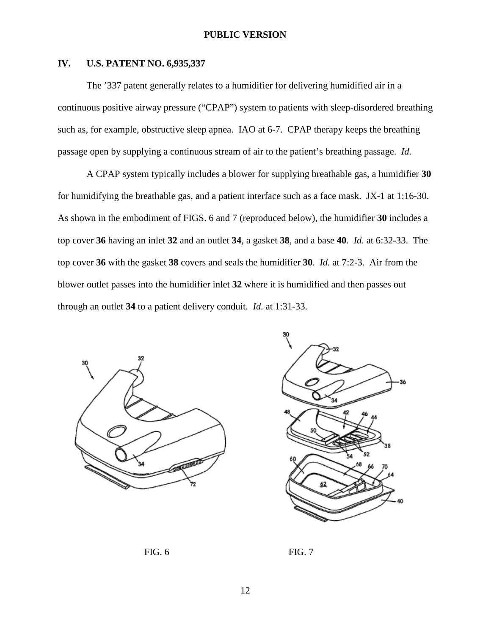### **IV. U.S. PATENT NO. 6,935,337**

The '337 patent generally relates to a humidifier for delivering humidified air in a continuous positive airway pressure ("CPAP") system to patients with sleep-disordered breathing such as, for example, obstructive sleep apnea. IAO at 6-7. CPAP therapy keeps the breathing passage open by supplying a continuous stream of air to the patient's breathing passage. *Id.*

A CPAP system typically includes a blower for supplying breathable gas, a humidifier **30** for humidifying the breathable gas, and a patient interface such as a face mask. JX-1 at 1:16-30. As shown in the embodiment of FIGS. 6 and 7 (reproduced below), the humidifier **30** includes a top cover **36** having an inlet **32** and an outlet **34**, a gasket **38**, and a base **40**. *Id.* at 6:32-33. The top cover **36** with the gasket **38** covers and seals the humidifier **30**. *Id.* at 7:2-3. Air from the blower outlet passes into the humidifier inlet **32** where it is humidified and then passes out through an outlet **34** to a patient delivery conduit. *Id.* at 1:31-33.





FIG. 6 FIG. 7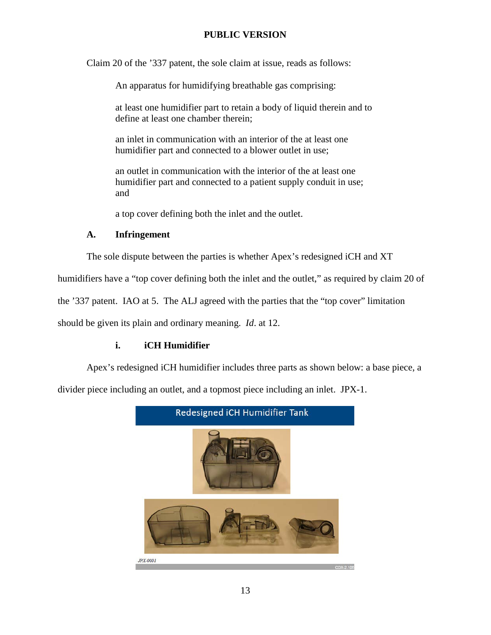Claim 20 of the '337 patent, the sole claim at issue, reads as follows:

An apparatus for humidifying breathable gas comprising:

at least one humidifier part to retain a body of liquid therein and to define at least one chamber therein;

an inlet in communication with an interior of the at least one humidifier part and connected to a blower outlet in use;

an outlet in communication with the interior of the at least one humidifier part and connected to a patient supply conduit in use; and

a top cover defining both the inlet and the outlet.

# **A. Infringement**

The sole dispute between the parties is whether Apex's redesigned iCH and XT

humidifiers have a "top cover defining both the inlet and the outlet," as required by claim 20 of

the '337 patent. IAO at 5. The ALJ agreed with the parties that the "top cover" limitation

should be given its plain and ordinary meaning. *Id*. at 12.

# **i. iCH Humidifier**

Apex's redesigned iCH humidifier includes three parts as shown below: a base piece, a

divider piece including an outlet, and a topmost piece including an inlet. JPX-1.

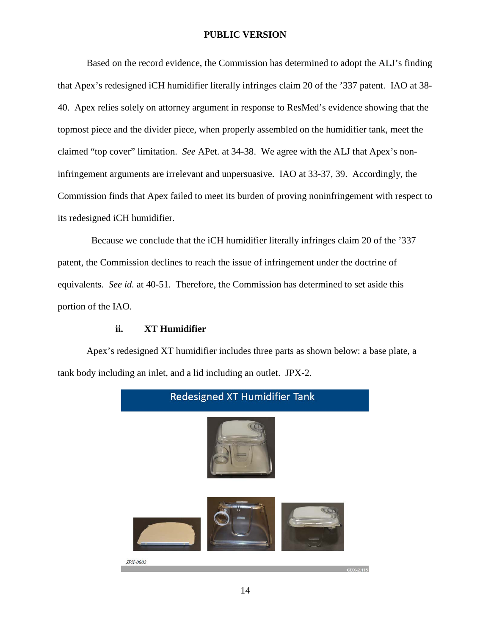Based on the record evidence, the Commission has determined to adopt the ALJ's finding that Apex's redesigned iCH humidifier literally infringes claim 20 of the '337 patent. IAO at 38- 40. Apex relies solely on attorney argument in response to ResMed's evidence showing that the topmost piece and the divider piece, when properly assembled on the humidifier tank, meet the claimed "top cover" limitation. *See* APet. at 34-38. We agree with the ALJ that Apex's noninfringement arguments are irrelevant and unpersuasive. IAO at 33-37, 39. Accordingly, the Commission finds that Apex failed to meet its burden of proving noninfringement with respect to its redesigned iCH humidifier.

 Because we conclude that the iCH humidifier literally infringes claim 20 of the '337 patent, the Commission declines to reach the issue of infringement under the doctrine of equivalents. *See id.* at 40-51. Therefore, the Commission has determined to set aside this portion of the IAO.

## **ii. XT Humidifier**

Apex's redesigned XT humidifier includes three parts as shown below: a base plate, a tank body including an inlet, and a lid including an outlet. JPX-2.

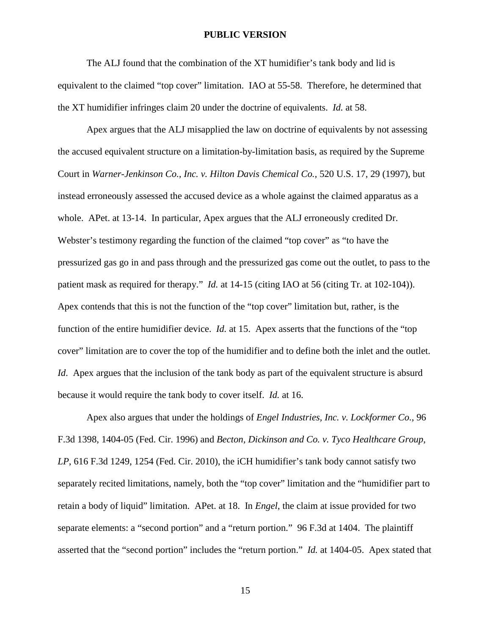The ALJ found that the combination of the XT humidifier's tank body and lid is equivalent to the claimed "top cover" limitation. IAO at 55-58. Therefore, he determined that the XT humidifier infringes claim 20 under the doctrine of equivalents. *Id.* at 58.

Apex argues that the ALJ misapplied the law on doctrine of equivalents by not assessing the accused equivalent structure on a limitation-by-limitation basis, as required by the Supreme Court in *Warner-Jenkinson Co., Inc. v. Hilton Davis Chemical Co.*, 520 U.S. 17, 29 (1997), but instead erroneously assessed the accused device as a whole against the claimed apparatus as a whole. APet. at 13-14. In particular, Apex argues that the ALJ erroneously credited Dr. Webster's testimony regarding the function of the claimed "top cover" as "to have the pressurized gas go in and pass through and the pressurized gas come out the outlet, to pass to the patient mask as required for therapy." *Id.* at 14-15 (citing IAO at 56 (citing Tr. at 102-104)). Apex contends that this is not the function of the "top cover" limitation but, rather, is the function of the entire humidifier device. *Id.* at 15. Apex asserts that the functions of the "top cover" limitation are to cover the top of the humidifier and to define both the inlet and the outlet. *Id.* Apex argues that the inclusion of the tank body as part of the equivalent structure is absurd because it would require the tank body to cover itself. *Id.* at 16.

Apex also argues that under the holdings of *Engel Industries, Inc. v. Lockformer Co.*, 96 F.3d 1398, 1404-05 (Fed. Cir. 1996) and *Becton, Dickinson and Co. v. Tyco Healthcare Group, LP*, 616 F.3d 1249, 1254 (Fed. Cir. 2010), the iCH humidifier's tank body cannot satisfy two separately recited limitations, namely, both the "top cover" limitation and the "humidifier part to retain a body of liquid" limitation. APet. at 18. In *Engel*, the claim at issue provided for two separate elements: a "second portion" and a "return portion." 96 F.3d at 1404. The plaintiff asserted that the "second portion" includes the "return portion." *Id.* at 1404-05. Apex stated that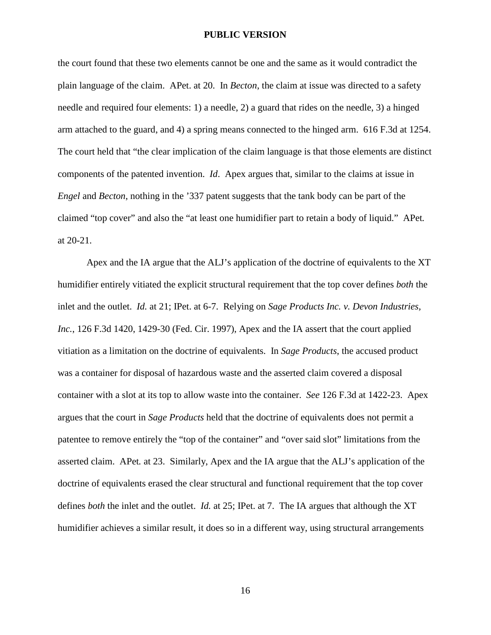the court found that these two elements cannot be one and the same as it would contradict the plain language of the claim. APet. at 20. In *Becton*, the claim at issue was directed to a safety needle and required four elements: 1) a needle, 2) a guard that rides on the needle, 3) a hinged arm attached to the guard, and 4) a spring means connected to the hinged arm. 616 F.3d at 1254. The court held that "the clear implication of the claim language is that those elements are distinct components of the patented invention. *Id*. Apex argues that, similar to the claims at issue in *Engel* and *Becton*, nothing in the '337 patent suggests that the tank body can be part of the claimed "top cover" and also the "at least one humidifier part to retain a body of liquid." APet*.* at 20-21.

Apex and the IA argue that the ALJ's application of the doctrine of equivalents to the XT humidifier entirely vitiated the explicit structural requirement that the top cover defines *both* the inlet and the outlet. *Id.* at 21; IPet. at 6-7. Relying on *Sage Products Inc. v. Devon Industries, Inc.*, 126 F.3d 1420, 1429-30 (Fed. Cir. 1997), Apex and the IA assert that the court applied vitiation as a limitation on the doctrine of equivalents. In *Sage Products*, the accused product was a container for disposal of hazardous waste and the asserted claim covered a disposal container with a slot at its top to allow waste into the container. *See* 126 F.3d at 1422-23. Apex argues that the court in *Sage Products* held that the doctrine of equivalents does not permit a patentee to remove entirely the "top of the container" and "over said slot" limitations from the asserted claim. APet*.* at 23. Similarly, Apex and the IA argue that the ALJ's application of the doctrine of equivalents erased the clear structural and functional requirement that the top cover defines *both* the inlet and the outlet. *Id.* at 25; IPet. at 7. The IA argues that although the XT humidifier achieves a similar result, it does so in a different way, using structural arrangements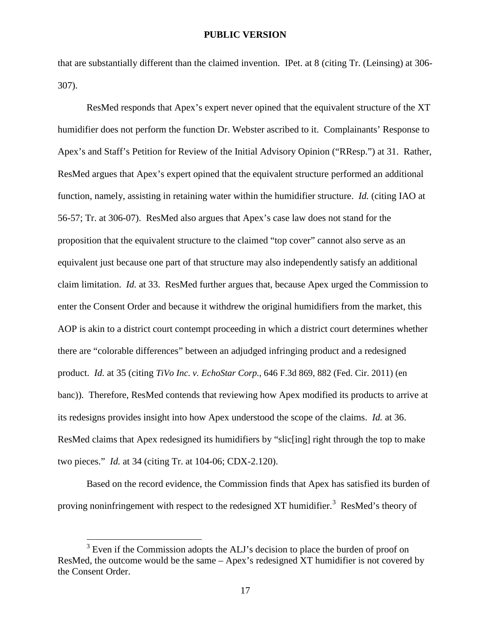that are substantially different than the claimed invention. IPet. at 8 (citing Tr. (Leinsing) at 306- 307).

ResMed responds that Apex's expert never opined that the equivalent structure of the XT humidifier does not perform the function Dr. Webster ascribed to it. Complainants' Response to Apex's and Staff's Petition for Review of the Initial Advisory Opinion ("RResp.") at 31. Rather, ResMed argues that Apex's expert opined that the equivalent structure performed an additional function, namely, assisting in retaining water within the humidifier structure. *Id.* (citing IAO at 56-57; Tr. at 306-07). ResMed also argues that Apex's case law does not stand for the proposition that the equivalent structure to the claimed "top cover" cannot also serve as an equivalent just because one part of that structure may also independently satisfy an additional claim limitation. *Id.* at 33. ResMed further argues that, because Apex urged the Commission to enter the Consent Order and because it withdrew the original humidifiers from the market, this AOP is akin to a district court contempt proceeding in which a district court determines whether there are "colorable differences" between an adjudged infringing product and a redesigned product. *Id.* at 35 (citing *TiVo Inc. v. EchoStar Corp.*, 646 F.3d 869, 882 (Fed. Cir. 2011) (en banc)). Therefore, ResMed contends that reviewing how Apex modified its products to arrive at its redesigns provides insight into how Apex understood the scope of the claims. *Id.* at 36. ResMed claims that Apex redesigned its humidifiers by "slic[ing] right through the top to make two pieces." *Id.* at 34 (citing Tr. at 104-06; CDX-2.120).

Based on the record evidence, the Commission finds that Apex has satisfied its burden of proving noninfringement with respect to the redesigned XT humidifier.<sup>[3](#page-16-0)</sup> ResMed's theory of

<span id="page-16-0"></span> $3$  Even if the Commission adopts the ALJ's decision to place the burden of proof on ResMed, the outcome would be the same – Apex's redesigned XT humidifier is not covered by the Consent Order.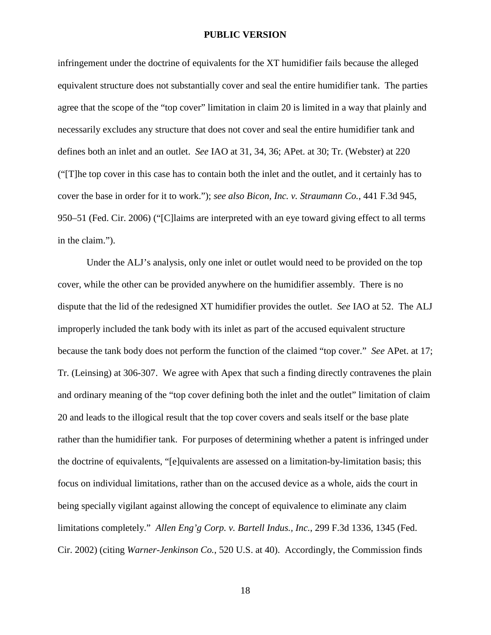infringement under the doctrine of equivalents for the XT humidifier fails because the alleged equivalent structure does not substantially cover and seal the entire humidifier tank. The parties agree that the scope of the "top cover" limitation in claim 20 is limited in a way that plainly and necessarily excludes any structure that does not cover and seal the entire humidifier tank and defines both an inlet and an outlet. *See* IAO at 31, 34, 36; APet. at 30; Tr. (Webster) at 220 ("[T]he top cover in this case has to contain both the inlet and the outlet, and it certainly has to cover the base in order for it to work."); *see also Bicon, Inc. v. Straumann Co.*, 441 F.3d 945, 950–51 (Fed. Cir. 2006) ("[C]laims are interpreted with an eye toward giving effect to all terms in the claim.").

Under the ALJ's analysis, only one inlet or outlet would need to be provided on the top cover, while the other can be provided anywhere on the humidifier assembly. There is no dispute that the lid of the redesigned XT humidifier provides the outlet. *See* IAO at 52. The ALJ improperly included the tank body with its inlet as part of the accused equivalent structure because the tank body does not perform the function of the claimed "top cover." *See* APet. at 17; Tr. (Leinsing) at 306-307. We agree with Apex that such a finding directly contravenes the plain and ordinary meaning of the "top cover defining both the inlet and the outlet" limitation of claim 20 and leads to the illogical result that the top cover covers and seals itself or the base plate rather than the humidifier tank. For purposes of determining whether a patent is infringed under the doctrine of equivalents, "[e]quivalents are assessed on a limitation-by-limitation basis; this focus on individual limitations, rather than on the accused device as a whole, aids the court in being specially vigilant against allowing the concept of equivalence to eliminate any claim limitations completely." *Allen Eng'g Corp. v. Bartell Indus., Inc.*, 299 F.3d 1336, 1345 (Fed. Cir. 2002) (citing *Warner-Jenkinson Co.*, 520 U.S. at 40). Accordingly, the Commission finds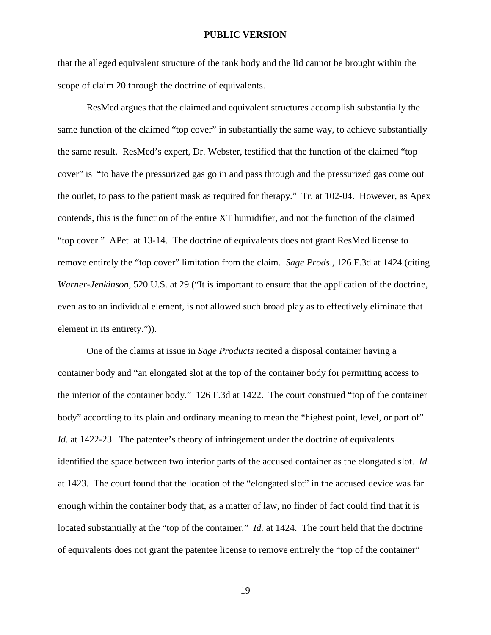that the alleged equivalent structure of the tank body and the lid cannot be brought within the scope of claim 20 through the doctrine of equivalents.

ResMed argues that the claimed and equivalent structures accomplish substantially the same function of the claimed "top cover" in substantially the same way, to achieve substantially the same result. ResMed's expert, Dr. Webster, testified that the function of the claimed "top cover" is "to have the pressurized gas go in and pass through and the pressurized gas come out the outlet, to pass to the patient mask as required for therapy." Tr. at 102-04. However, as Apex contends, this is the function of the entire XT humidifier, and not the function of the claimed "top cover." APet. at 13-14. The doctrine of equivalents does not grant ResMed license to remove entirely the "top cover" limitation from the claim. *Sage Prods*., 126 F.3d at 1424 (citing *Warner-Jenkinson*, 520 U.S. at 29 ("It is important to ensure that the application of the doctrine, even as to an individual element, is not allowed such broad play as to effectively eliminate that element in its entirety.")).

One of the claims at issue in *Sage Products* recited a disposal container having a container body and "an elongated slot at the top of the container body for permitting access to the interior of the container body." 126 F.3d at 1422. The court construed "top of the container body" according to its plain and ordinary meaning to mean the "highest point, level, or part of" *Id.* at 1422-23. The patentee's theory of infringement under the doctrine of equivalents identified the space between two interior parts of the accused container as the elongated slot. *Id.* at 1423. The court found that the location of the "elongated slot" in the accused device was far enough within the container body that, as a matter of law, no finder of fact could find that it is located substantially at the "top of the container." *Id.* at 1424. The court held that the doctrine of equivalents does not grant the patentee license to remove entirely the "top of the container"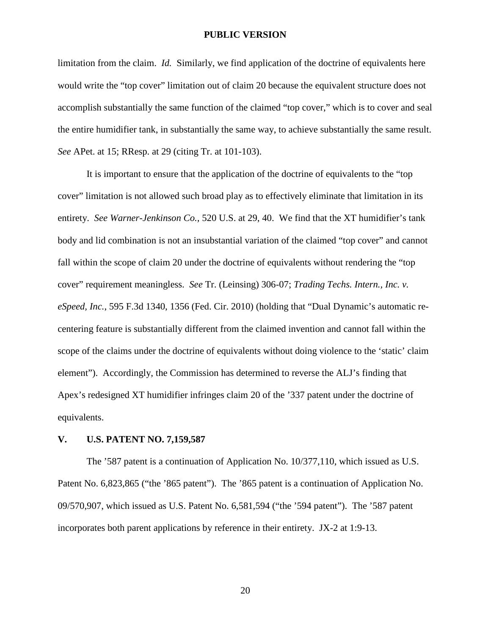limitation from the claim. *Id.* Similarly, we find application of the doctrine of equivalents here would write the "top cover" limitation out of claim 20 because the equivalent structure does not accomplish substantially the same function of the claimed "top cover," which is to cover and seal the entire humidifier tank, in substantially the same way, to achieve substantially the same result. *See* APet. at 15; RResp. at 29 (citing Tr. at 101-103).

It is important to ensure that the application of the doctrine of equivalents to the "top cover" limitation is not allowed such broad play as to effectively eliminate that limitation in its entirety. *See Warner-Jenkinson Co.,* 520 U.S. at 29, 40. We find that the XT humidifier's tank body and lid combination is not an insubstantial variation of the claimed "top cover" and cannot fall within the scope of claim 20 under the doctrine of equivalents without rendering the "top cover" requirement meaningless. *See* Tr. (Leinsing) 306-07; *Trading Techs. Intern., Inc. v. eSpeed, Inc.*, 595 F.3d 1340, 1356 (Fed. Cir. 2010) (holding that "Dual Dynamic's automatic recentering feature is substantially different from the claimed invention and cannot fall within the scope of the claims under the doctrine of equivalents without doing violence to the 'static' claim element"). Accordingly, the Commission has determined to reverse the ALJ's finding that Apex's redesigned XT humidifier infringes claim 20 of the '337 patent under the doctrine of equivalents.

#### **V. U.S. PATENT NO. 7,159,587**

The '587 patent is a continuation of Application No. 10/377,110, which issued as U.S. Patent No. 6,823,865 ("the '865 patent"). The '865 patent is a continuation of Application No. 09/570,907, which issued as U.S. Patent No. 6,581,594 ("the '594 patent"). The '587 patent incorporates both parent applications by reference in their entirety. JX-2 at 1:9-13.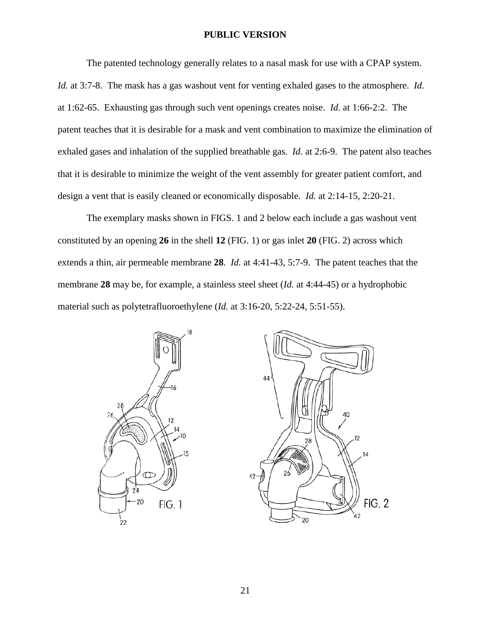The patented technology generally relates to a nasal mask for use with a CPAP system. *Id.* at 3:7-8. The mask has a gas washout vent for venting exhaled gases to the atmosphere. *Id.* at 1:62-65. Exhausting gas through such vent openings creates noise. *Id.* at 1:66-2:2. The patent teaches that it is desirable for a mask and vent combination to maximize the elimination of exhaled gases and inhalation of the supplied breathable gas. *Id.* at 2:6-9. The patent also teaches that it is desirable to minimize the weight of the vent assembly for greater patient comfort, and design a vent that is easily cleaned or economically disposable. *Id.* at 2:14-15, 2:20-21.

The exemplary masks shown in FIGS. 1 and 2 below each include a gas washout vent constituted by an opening **26** in the shell **12** (FIG. 1) or gas inlet **20** (FIG. 2) across which extends a thin, air permeable membrane **28**. *Id.* at 4:41-43, 5:7-9. The patent teaches that the membrane **28** may be, for example, a stainless steel sheet (*Id.* at 4:44-45) or a hydrophobic material such as polytetrafluoroethylene (*Id.* at 3:16-20, 5:22-24, 5:51-55).



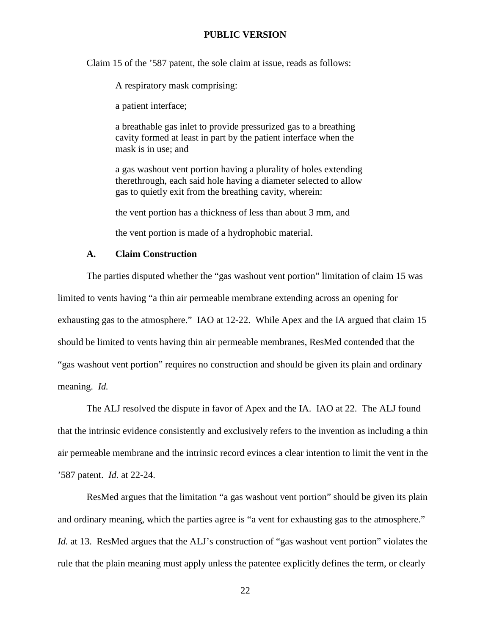Claim 15 of the '587 patent, the sole claim at issue, reads as follows:

A respiratory mask comprising:

a patient interface;

a breathable gas inlet to provide pressurized gas to a breathing cavity formed at least in part by the patient interface when the mask is in use; and

a gas washout vent portion having a plurality of holes extending therethrough, each said hole having a diameter selected to allow gas to quietly exit from the breathing cavity, wherein:

the vent portion has a thickness of less than about 3 mm, and

the vent portion is made of a hydrophobic material.

#### **A. Claim Construction**

The parties disputed whether the "gas washout vent portion" limitation of claim 15 was limited to vents having "a thin air permeable membrane extending across an opening for exhausting gas to the atmosphere." IAO at 12-22. While Apex and the IA argued that claim 15 should be limited to vents having thin air permeable membranes, ResMed contended that the "gas washout vent portion" requires no construction and should be given its plain and ordinary meaning. *Id.*

The ALJ resolved the dispute in favor of Apex and the IA. IAO at 22. The ALJ found that the intrinsic evidence consistently and exclusively refers to the invention as including a thin air permeable membrane and the intrinsic record evinces a clear intention to limit the vent in the '587 patent. *Id.* at 22-24.

ResMed argues that the limitation "a gas washout vent portion" should be given its plain and ordinary meaning, which the parties agree is "a vent for exhausting gas to the atmosphere." *Id.* at 13. ResMed argues that the ALJ's construction of "gas washout vent portion" violates the rule that the plain meaning must apply unless the patentee explicitly defines the term, or clearly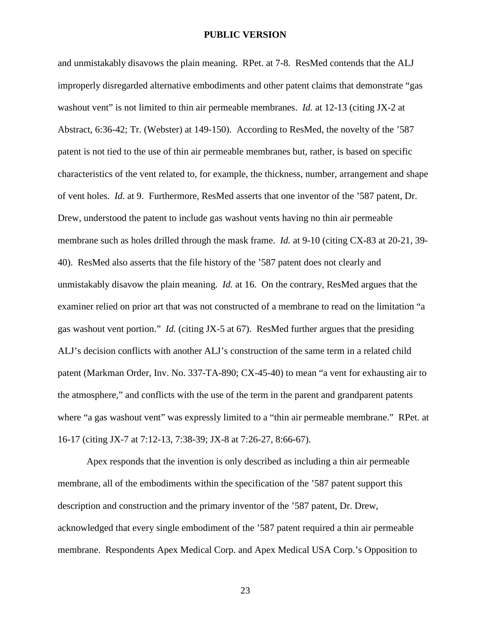and unmistakably disavows the plain meaning. RPet. at 7-8. ResMed contends that the ALJ improperly disregarded alternative embodiments and other patent claims that demonstrate "gas washout vent" is not limited to thin air permeable membranes. *Id.* at 12-13 (citing JX-2 at Abstract, 6:36-42; Tr. (Webster) at 149-150). According to ResMed, the novelty of the '587 patent is not tied to the use of thin air permeable membranes but, rather, is based on specific characteristics of the vent related to, for example, the thickness, number, arrangement and shape of vent holes. *Id.* at 9. Furthermore, ResMed asserts that one inventor of the '587 patent, Dr. Drew, understood the patent to include gas washout vents having no thin air permeable membrane such as holes drilled through the mask frame. *Id.* at 9-10 (citing CX-83 at 20-21, 39- 40). ResMed also asserts that the file history of the '587 patent does not clearly and unmistakably disavow the plain meaning. *Id.* at 16. On the contrary, ResMed argues that the examiner relied on prior art that was not constructed of a membrane to read on the limitation "a gas washout vent portion." *Id.* (citing JX-5 at 67). ResMed further argues that the presiding ALJ's decision conflicts with another ALJ's construction of the same term in a related child patent (Markman Order, Inv. No. 337-TA-890; CX-45-40) to mean "a vent for exhausting air to the atmosphere," and conflicts with the use of the term in the parent and grandparent patents where "a gas washout vent" was expressly limited to a "thin air permeable membrane." RPet. at 16-17 (citing JX-7 at 7:12-13, 7:38-39; JX-8 at 7:26-27, 8:66-67).

Apex responds that the invention is only described as including a thin air permeable membrane, all of the embodiments within the specification of the '587 patent support this description and construction and the primary inventor of the '587 patent, Dr. Drew, acknowledged that every single embodiment of the '587 patent required a thin air permeable membrane. Respondents Apex Medical Corp. and Apex Medical USA Corp.'s Opposition to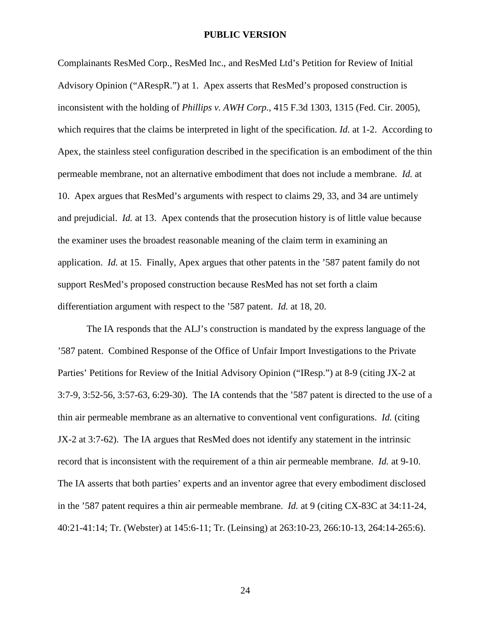Complainants ResMed Corp., ResMed Inc., and ResMed Ltd's Petition for Review of Initial Advisory Opinion ("ARespR.") at 1. Apex asserts that ResMed's proposed construction is inconsistent with the holding of *Phillips v. AWH Corp.*, 415 F.3d 1303, 1315 (Fed. Cir. 2005), which requires that the claims be interpreted in light of the specification. *Id.* at 1-2. According to Apex, the stainless steel configuration described in the specification is an embodiment of the thin permeable membrane, not an alternative embodiment that does not include a membrane. *Id.* at 10. Apex argues that ResMed's arguments with respect to claims 29, 33, and 34 are untimely and prejudicial. *Id.* at 13. Apex contends that the prosecution history is of little value because the examiner uses the broadest reasonable meaning of the claim term in examining an application. *Id.* at 15. Finally, Apex argues that other patents in the '587 patent family do not support ResMed's proposed construction because ResMed has not set forth a claim differentiation argument with respect to the '587 patent. *Id.* at 18, 20.

The IA responds that the ALJ's construction is mandated by the express language of the '587 patent. Combined Response of the Office of Unfair Import Investigations to the Private Parties' Petitions for Review of the Initial Advisory Opinion ("IResp.") at 8-9 (citing JX-2 at 3:7-9, 3:52-56, 3:57-63, 6:29-30). The IA contends that the '587 patent is directed to the use of a thin air permeable membrane as an alternative to conventional vent configurations. *Id.* (citing JX-2 at 3:7-62). The IA argues that ResMed does not identify any statement in the intrinsic record that is inconsistent with the requirement of a thin air permeable membrane. *Id.* at 9-10. The IA asserts that both parties' experts and an inventor agree that every embodiment disclosed in the '587 patent requires a thin air permeable membrane. *Id.* at 9 (citing CX-83C at 34:11-24, 40:21-41:14; Tr. (Webster) at 145:6-11; Tr. (Leinsing) at 263:10-23, 266:10-13, 264:14-265:6).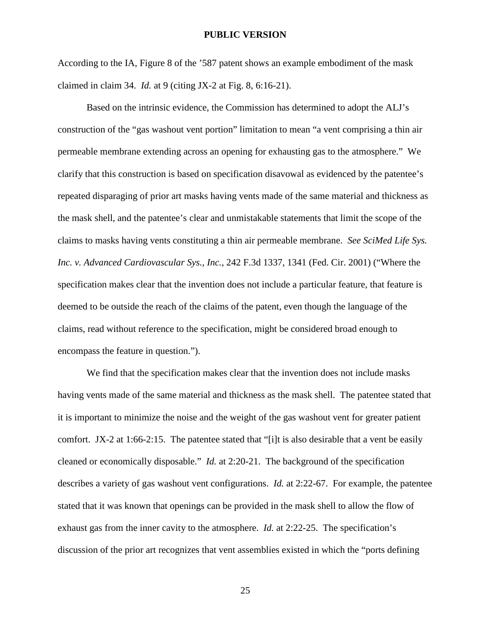According to the IA, Figure 8 of the '587 patent shows an example embodiment of the mask claimed in claim 34. *Id.* at 9 (citing JX-2 at Fig. 8, 6:16-21).

Based on the intrinsic evidence, the Commission has determined to adopt the ALJ's construction of the "gas washout vent portion" limitation to mean "a vent comprising a thin air permeable membrane extending across an opening for exhausting gas to the atmosphere." We clarify that this construction is based on specification disavowal as evidenced by the patentee's repeated disparaging of prior art masks having vents made of the same material and thickness as the mask shell, and the patentee's clear and unmistakable statements that limit the scope of the claims to masks having vents constituting a thin air permeable membrane. *See SciMed Life Sys. Inc. v. Advanced Cardiovascular Sys., Inc.*, 242 F.3d 1337, 1341 (Fed. Cir. 2001) ("Where the specification makes clear that the invention does not include a particular feature, that feature is deemed to be outside the reach of the claims of the patent, even though the language of the claims, read without reference to the specification, might be considered broad enough to encompass the feature in question.").

We find that the specification makes clear that the invention does not include masks having vents made of the same material and thickness as the mask shell. The patentee stated that it is important to minimize the noise and the weight of the gas washout vent for greater patient comfort. JX-2 at 1:66-2:15. The patentee stated that "[i]t is also desirable that a vent be easily cleaned or economically disposable." *Id.* at 2:20-21. The background of the specification describes a variety of gas washout vent configurations. *Id.* at 2:22-67. For example, the patentee stated that it was known that openings can be provided in the mask shell to allow the flow of exhaust gas from the inner cavity to the atmosphere. *Id.* at 2:22-25. The specification's discussion of the prior art recognizes that vent assemblies existed in which the "ports defining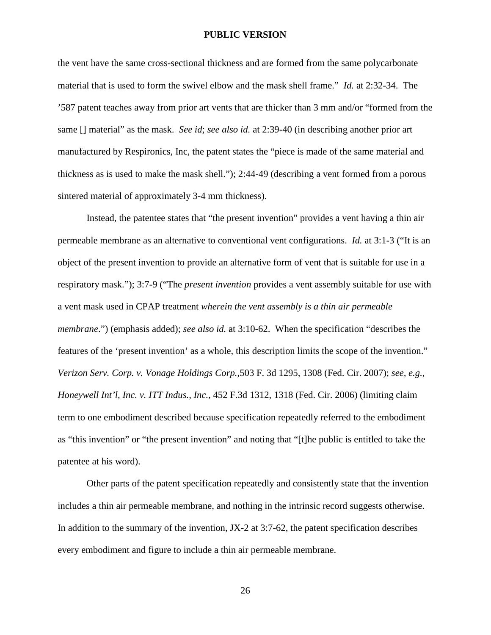the vent have the same cross-sectional thickness and are formed from the same polycarbonate material that is used to form the swivel elbow and the mask shell frame." *Id.* at 2:32-34. The '587 patent teaches away from prior art vents that are thicker than 3 mm and/or "formed from the same [] material" as the mask. *See id*; *see also id.* at 2:39-40 (in describing another prior art manufactured by Respironics, Inc, the patent states the "piece is made of the same material and thickness as is used to make the mask shell."); 2:44-49 (describing a vent formed from a porous sintered material of approximately 3-4 mm thickness).

Instead, the patentee states that "the present invention" provides a vent having a thin air permeable membrane as an alternative to conventional vent configurations. *Id.* at 3:1-3 ("It is an object of the present invention to provide an alternative form of vent that is suitable for use in a respiratory mask."); 3:7-9 ("The *present invention* provides a vent assembly suitable for use with a vent mask used in CPAP treatment *wherein the vent assembly is a thin air permeable membrane*.") (emphasis added); *see also id.* at 3:10-62. When the specification "describes the features of the 'present invention' as a whole, this description limits the scope of the invention." *Verizon Serv. Corp. v. Vonage Holdings Corp.,*503 F. 3d 1295, 1308 (Fed. Cir. 2007); *see, e.g., Honeywell Int'l, Inc. v. ITT Indus., Inc.*, 452 F.3d 1312, 1318 (Fed. Cir. 2006) (limiting claim term to one embodiment described because specification repeatedly referred to the embodiment as "this invention" or "the present invention" and noting that "[t]he public is entitled to take the patentee at his word).

Other parts of the patent specification repeatedly and consistently state that the invention includes a thin air permeable membrane, and nothing in the intrinsic record suggests otherwise. In addition to the summary of the invention, JX-2 at 3:7-62, the patent specification describes every embodiment and figure to include a thin air permeable membrane.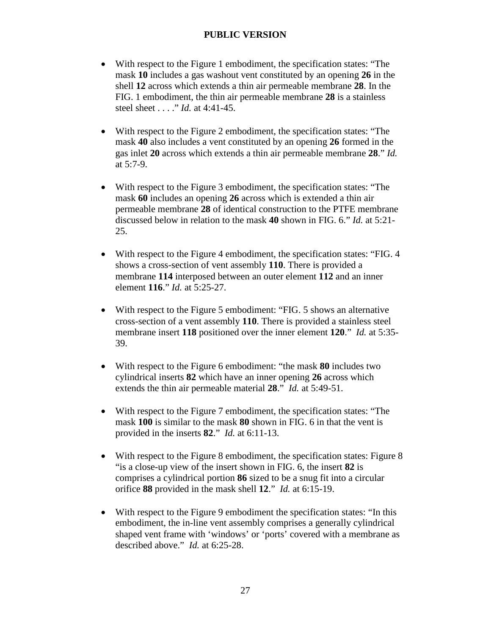- With respect to the Figure 1 embodiment, the specification states: "The mask **10** includes a gas washout vent constituted by an opening **26** in the shell **12** across which extends a thin air permeable membrane **28**. In the FIG. 1 embodiment, the thin air permeable membrane **28** is a stainless steel sheet . . . ." *Id.* at 4:41-45.
- With respect to the Figure 2 embodiment, the specification states: "The mask **40** also includes a vent constituted by an opening **26** formed in the gas inlet **20** across which extends a thin air permeable membrane **28**." *Id.* at 5:7-9.
- With respect to the Figure 3 embodiment, the specification states: "The mask **60** includes an opening **26** across which is extended a thin air permeable membrane **28** of identical construction to the PTFE membrane discussed below in relation to the mask **40** shown in FIG. 6." *Id.* at 5:21- 25.
- With respect to the Figure 4 embodiment, the specification states: "FIG. 4 shows a cross-section of vent assembly **110**. There is provided a membrane **114** interposed between an outer element **112** and an inner element **116**." *Id.* at 5:25-27.
- With respect to the Figure 5 embodiment: "FIG. 5 shows an alternative cross-section of a vent assembly **110**. There is provided a stainless steel membrane insert **118** positioned over the inner element **120**." *Id.* at 5:35- 39.
- With respect to the Figure 6 embodiment: "the mask **80** includes two cylindrical inserts **82** which have an inner opening **26** across which extends the thin air permeable material **28**." *Id.* at 5:49-51.
- With respect to the Figure 7 embodiment, the specification states: "The mask **100** is similar to the mask **80** shown in FIG. 6 in that the vent is provided in the inserts **82**." *Id.* at 6:11-13.
- With respect to the Figure 8 embodiment, the specification states: Figure 8 "is a close-up view of the insert shown in FIG. 6, the insert **82** is comprises a cylindrical portion **86** sized to be a snug fit into a circular orifice **88** provided in the mask shell **12**." *Id.* at 6:15-19.
- With respect to the Figure 9 embodiment the specification states: "In this embodiment, the in-line vent assembly comprises a generally cylindrical shaped vent frame with 'windows' or 'ports' covered with a membrane as described above." *Id.* at 6:25-28.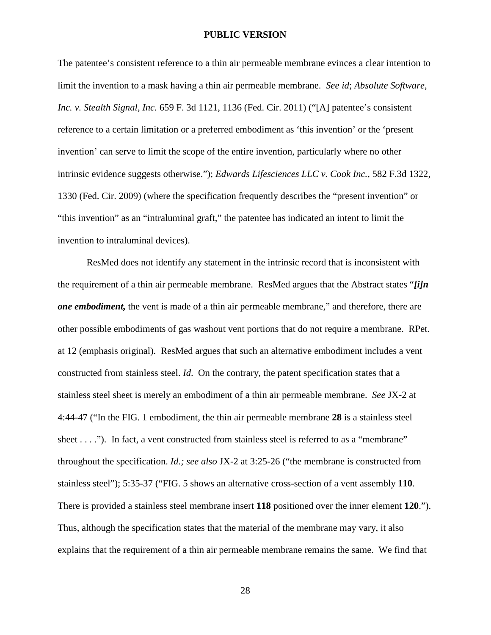The patentee's consistent reference to a thin air permeable membrane evinces a clear intention to limit the invention to a mask having a thin air permeable membrane. *See id*; *Absolute Software, Inc. v. Stealth Signal, Inc.* 659 F. 3d 1121, 1136 (Fed. Cir. 2011) ("[A] patentee's consistent reference to a certain limitation or a preferred embodiment as 'this invention' or the 'present invention' can serve to limit the scope of the entire invention, particularly where no other intrinsic evidence suggests otherwise."); *Edwards Lifesciences LLC v. Cook Inc.*, 582 F.3d 1322, 1330 (Fed. Cir. 2009) (where the specification frequently describes the "present invention" or "this invention" as an "intraluminal graft," the patentee has indicated an intent to limit the invention to intraluminal devices).

ResMed does not identify any statement in the intrinsic record that is inconsistent with the requirement of a thin air permeable membrane. ResMed argues that the Abstract states "*[i]n one embodiment,* the vent is made of a thin air permeable membrane," and therefore, there are other possible embodiments of gas washout vent portions that do not require a membrane. RPet. at 12 (emphasis original). ResMed argues that such an alternative embodiment includes a vent constructed from stainless steel. *Id*. On the contrary, the patent specification states that a stainless steel sheet is merely an embodiment of a thin air permeable membrane. *See* JX-2 at 4:44-47 ("In the FIG. 1 embodiment, the thin air permeable membrane **28** is a stainless steel sheet . . . ."). In fact, a vent constructed from stainless steel is referred to as a "membrane" throughout the specification. *Id.; see also* JX-2 at 3:25-26 ("the membrane is constructed from stainless steel"); 5:35-37 ("FIG. 5 shows an alternative cross-section of a vent assembly **110**. There is provided a stainless steel membrane insert **118** positioned over the inner element **120**."). Thus, although the specification states that the material of the membrane may vary, it also explains that the requirement of a thin air permeable membrane remains the same. We find that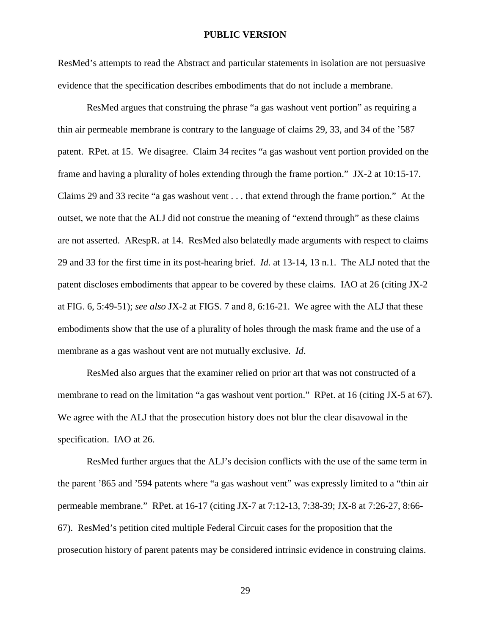ResMed's attempts to read the Abstract and particular statements in isolation are not persuasive evidence that the specification describes embodiments that do not include a membrane.

ResMed argues that construing the phrase "a gas washout vent portion" as requiring a thin air permeable membrane is contrary to the language of claims 29, 33, and 34 of the '587 patent. RPet. at 15. We disagree. Claim 34 recites "a gas washout vent portion provided on the frame and having a plurality of holes extending through the frame portion." JX-2 at 10:15-17. Claims 29 and 33 recite "a gas washout vent . . . that extend through the frame portion." At the outset, we note that the ALJ did not construe the meaning of "extend through" as these claims are not asserted. ARespR. at 14. ResMed also belatedly made arguments with respect to claims 29 and 33 for the first time in its post-hearing brief. *Id.* at 13-14, 13 n.1. The ALJ noted that the patent discloses embodiments that appear to be covered by these claims. IAO at 26 (citing JX-2 at FIG. 6, 5:49-51); *see also* JX-2 at FIGS. 7 and 8, 6:16-21. We agree with the ALJ that these embodiments show that the use of a plurality of holes through the mask frame and the use of a membrane as a gas washout vent are not mutually exclusive. *Id*.

ResMed also argues that the examiner relied on prior art that was not constructed of a membrane to read on the limitation "a gas washout vent portion." RPet. at 16 (citing JX-5 at 67). We agree with the ALJ that the prosecution history does not blur the clear disavowal in the specification. IAO at 26.

ResMed further argues that the ALJ's decision conflicts with the use of the same term in the parent '865 and '594 patents where "a gas washout vent" was expressly limited to a "thin air permeable membrane." RPet. at 16-17 (citing JX-7 at 7:12-13, 7:38-39; JX-8 at 7:26-27, 8:66- 67). ResMed's petition cited multiple Federal Circuit cases for the proposition that the prosecution history of parent patents may be considered intrinsic evidence in construing claims.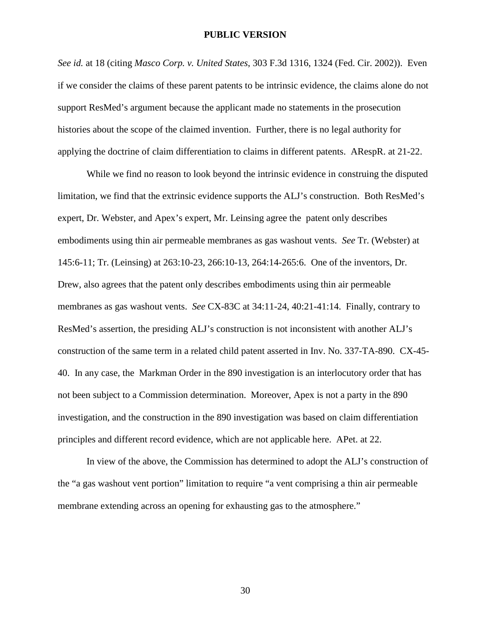*See id.* at 18 (citing *Masco Corp. v. United States*, 303 F.3d 1316, 1324 (Fed. Cir. 2002)). Even if we consider the claims of these parent patents to be intrinsic evidence, the claims alone do not support ResMed's argument because the applicant made no statements in the prosecution histories about the scope of the claimed invention. Further, there is no legal authority for applying the doctrine of claim differentiation to claims in different patents. ARespR. at 21-22.

While we find no reason to look beyond the intrinsic evidence in construing the disputed limitation, we find that the extrinsic evidence supports the ALJ's construction. Both ResMed's expert, Dr. Webster, and Apex's expert, Mr. Leinsing agree the patent only describes embodiments using thin air permeable membranes as gas washout vents. *See* Tr. (Webster) at 145:6-11; Tr. (Leinsing) at 263:10-23, 266:10-13, 264:14-265:6. One of the inventors, Dr. Drew, also agrees that the patent only describes embodiments using thin air permeable membranes as gas washout vents. *See* CX-83C at 34:11-24, 40:21-41:14. Finally, contrary to ResMed's assertion, the presiding ALJ's construction is not inconsistent with another ALJ's construction of the same term in a related child patent asserted in Inv. No. 337-TA-890. CX-45- 40. In any case, the Markman Order in the 890 investigation is an interlocutory order that has not been subject to a Commission determination. Moreover, Apex is not a party in the 890 investigation, and the construction in the 890 investigation was based on claim differentiation principles and different record evidence, which are not applicable here. APet. at 22.

In view of the above, the Commission has determined to adopt the ALJ's construction of the "a gas washout vent portion" limitation to require "a vent comprising a thin air permeable membrane extending across an opening for exhausting gas to the atmosphere."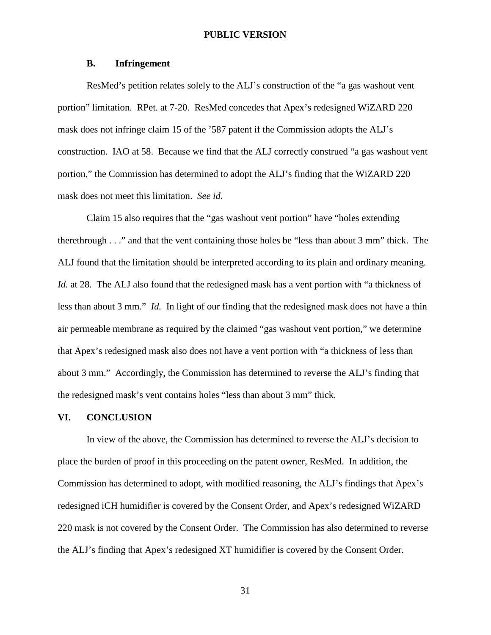#### **B. Infringement**

ResMed's petition relates solely to the ALJ's construction of the "a gas washout vent portion" limitation. RPet. at 7-20. ResMed concedes that Apex's redesigned WiZARD 220 mask does not infringe claim 15 of the '587 patent if the Commission adopts the ALJ's construction. IAO at 58. Because we find that the ALJ correctly construed "a gas washout vent portion," the Commission has determined to adopt the ALJ's finding that the WiZARD 220 mask does not meet this limitation. *See id*.

Claim 15 also requires that the "gas washout vent portion" have "holes extending therethrough . . ." and that the vent containing those holes be "less than about 3 mm" thick. The ALJ found that the limitation should be interpreted according to its plain and ordinary meaning. *Id.* at 28. The ALJ also found that the redesigned mask has a vent portion with "a thickness of less than about 3 mm." *Id.* In light of our finding that the redesigned mask does not have a thin air permeable membrane as required by the claimed "gas washout vent portion," we determine that Apex's redesigned mask also does not have a vent portion with "a thickness of less than about 3 mm." Accordingly, the Commission has determined to reverse the ALJ's finding that the redesigned mask's vent contains holes "less than about 3 mm" thick.

#### **VI. CONCLUSION**

In view of the above, the Commission has determined to reverse the ALJ's decision to place the burden of proof in this proceeding on the patent owner, ResMed. In addition, the Commission has determined to adopt, with modified reasoning, the ALJ's findings that Apex's redesigned iCH humidifier is covered by the Consent Order, and Apex's redesigned WiZARD 220 mask is not covered by the Consent Order. The Commission has also determined to reverse the ALJ's finding that Apex's redesigned XT humidifier is covered by the Consent Order.